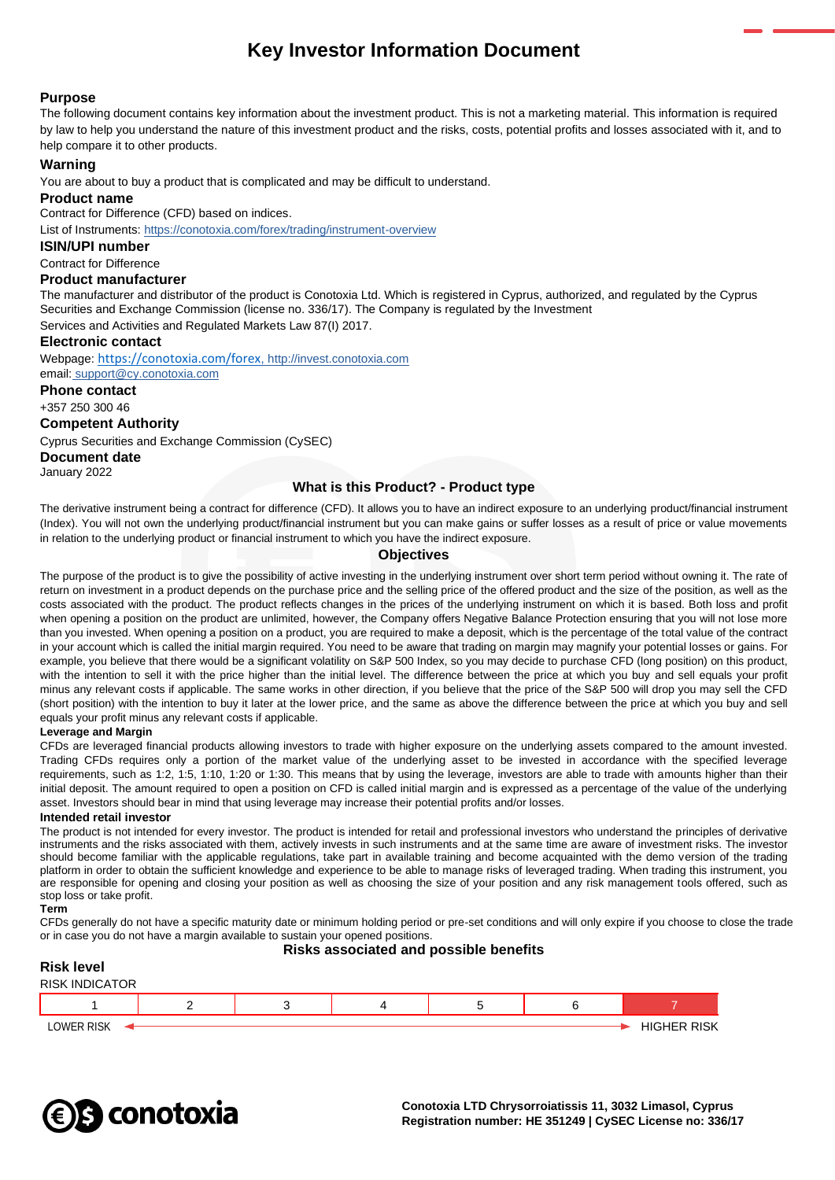# **Key Investor Information Document**

## **Purpose**

The following document contains key information about the investment product. This is not a marketing material. This information is required by law to help you understand the nature of this investment product and the risks, costs, potential profits and losses associated with it, and to help compare it to other products.

## **Warning**

You are about to buy a product that is complicated and may be difficult to understand.

#### **Product name**

Contract for Difference (CFD) based on indices.

List of Instruments: <https://conotoxia.com/forex/trading/instrument-overview>

#### **ISIN/UPI number**

Contract for Difference

## **Product manufacturer**

The manufacturer and distributor of the product is Conotoxia Ltd. Which is registered in Cyprus, authorized, and regulated by the Cyprus Securities and Exchange Commission (license no. 336/17). The Company is regulated by the Investment Services and Activities and Regulated Markets Law 87(I) 2017.

## **Electronic contact**

Webpage: <https://conotoxia.com/forex>, http://invest.conotoxia.com email: support@cy.conotoxia.com

**Phone contact**

## +357 250 300 46

**Competent Authority**

Cyprus Securities and Exchange Commission (CySEC)

## **Document date**

January 2022

## **What is this Product? - Product type**

The derivative instrument being a contract for difference (CFD). It allows you to have an indirect exposure to an underlying product/financial instrument (Index). You will not own the underlying product/financial instrument but you can make gains or suffer losses as a result of price or value movements in relation to the underlying product or financial instrument to which you have the indirect exposure.

## **Objectives**

The purpose of the product is to give the possibility of active investing in the underlying instrument over short term period without owning it. The rate of return on investment in a product depends on the purchase price and the selling price of the offered product and the size of the position, as well as the costs associated with the product. The product reflects changes in the prices of the underlying instrument on which it is based. Both loss and profit when opening a position on the product are unlimited, however, the Company offers Negative Balance Protection ensuring that you will not lose more than you invested. When opening a position on a product, you are required to make a deposit, which is the percentage of the total value of the contract in your account which is called the initial margin required. You need to be aware that trading on margin may magnify your potential losses or gains. For example, you believe that there would be a significant volatility on S&P 500 Index, so you may decide to purchase CFD (long position) on this product, with the intention to sell it with the price higher than the initial level. The difference between the price at which you buy and sell equals your profit minus any relevant costs if applicable. The same works in other direction, if you believe that the price of the S&P 500 will drop you may sell the CFD (short position) with the intention to buy it later at the lower price, and the same as above the difference between the price at which you buy and sell equals your profit minus any relevant costs if applicable.

#### **Leverage and Margin**

CFDs are leveraged financial products allowing investors to trade with higher exposure on the underlying assets compared to the amount invested. Trading CFDs requires only a portion of the market value of the underlying asset to be invested in accordance with the specified leverage requirements, such as 1:2, 1:5, 1:10, 1:20 or 1:30. This means that by using the leverage, investors are able to trade with amounts higher than their initial deposit. The amount required to open a position on CFD is called initial margin and is expressed as a percentage of the value of the underlying asset. Investors should bear in mind that using leverage may increase their potential profits and/or losses.

#### **Intended retail investor**

The product is not intended for every investor. The product is intended for retail and professional investors who understand the principles of derivative instruments and the risks associated with them, actively invests in such instruments and at the same time are aware of investment risks. The investor should become familiar with the applicable regulations, take part in available training and become acquainted with the demo version of the trading platform in order to obtain the sufficient knowledge and experience to be able to manage risks of leveraged trading. When trading this instrument, you are responsible for opening and closing your position as well as choosing the size of your position and any risk management tools offered, such as stop loss or take profit.

#### **Term**

**Risk level**

CFDs generally do not have a specific maturity date or minimum holding period or pre-set conditions and will only expire if you choose to close the trade or in case you do not have a margin available to sustain your opened positions.

**Risks associated and possible benefits**

| RISR IGVEI        |  |  |                    |
|-------------------|--|--|--------------------|
| RISK INDICATOR    |  |  |                    |
|                   |  |  |                    |
| <b>LOWER RISK</b> |  |  | <b>HIGHER RISK</b> |



**Conotoxia LTD Chrysorroiatissis 11, 3032 Limasol, Cyprus Registration number: HE 351249 | CySEC License no: 336/17**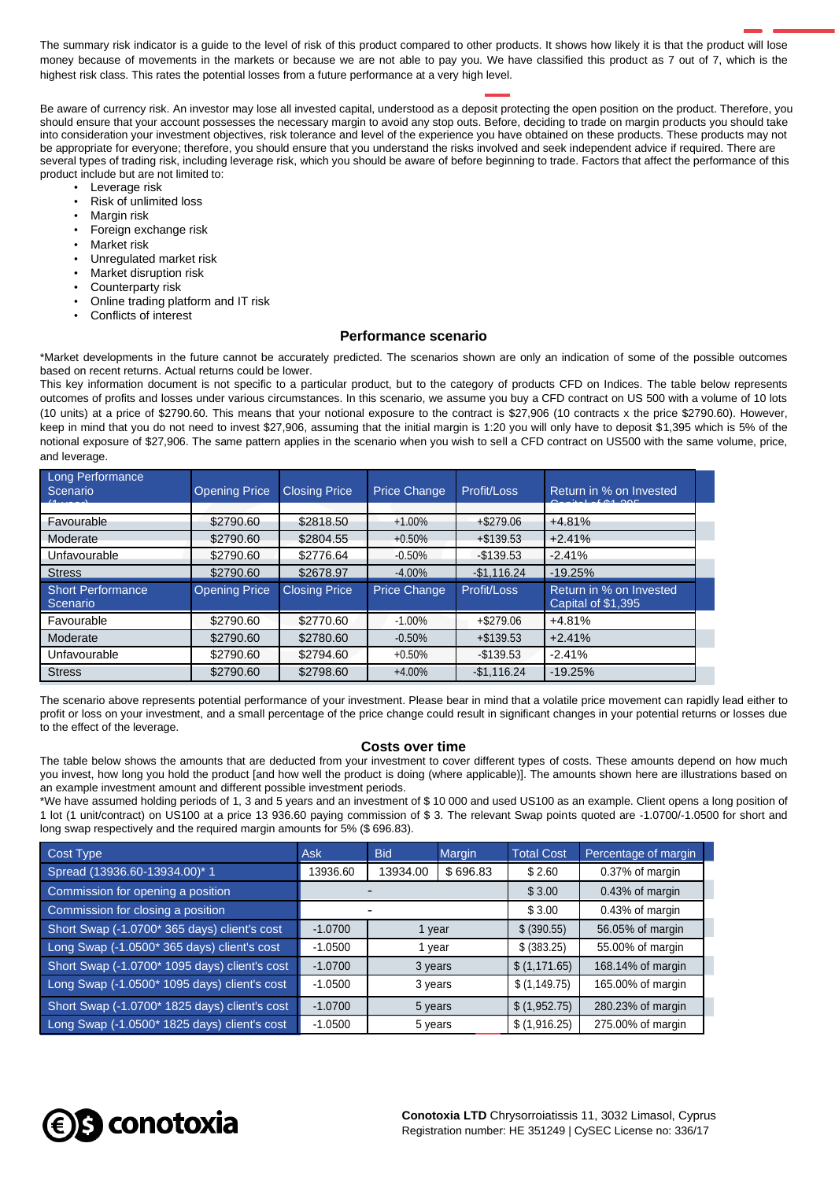The summary risk indicator is a guide to the level of risk of this product compared to other products. It shows how likely it is that the product will lose money because of movements in the markets or because we are not able to pay you. We have classified this product as 7 out of 7, which is the highest risk class. This rates the potential losses from a future performance at a very high level.

Be aware of currency risk. An investor may lose all invested capital, understood as a deposit protecting the open position on the product. Therefore, you should ensure that your account possesses the necessary margin to avoid any stop outs. Before, deciding to trade on margin products you should take into consideration your investment objectives, risk tolerance and level of the experience you have obtained on these products. These products may not be appropriate for everyone; therefore, you should ensure that you understand the risks involved and seek independent advice if required. There are several types of trading risk, including leverage risk, which you should be aware of before beginning to trade. Factors that affect the performance of this product include but are not limited to:

- Leverage risk
- **Risk of unlimited loss**
- Margin risk
- Foreign exchange risk
- Market risk
- Unregulated market risk
- Market disruption risk
- Counterparty risk
- Online trading platform and IT risk
- Conflicts of interest

## **Performance scenario**

\*Market developments in the future cannot be accurately predicted. The scenarios shown are only an indication of some of the possible outcomes based on recent returns. Actual returns could be lower.

This key information document is not specific to a particular product, but to the category of products CFD on Indices. The table below represents outcomes of profits and losses under various circumstances. In this scenario, we assume you buy a CFD contract on US 500 with a volume of 10 lots (10 units) at a price of \$2790.60. This means that your notional exposure to the contract is \$27,906 (10 contracts x the price \$2790.60). However, keep in mind that you do not need to invest \$27,906, assuming that the initial margin is 1:20 you will only have to deposit \$1,395 which is 5% of the notional exposure of \$27,906. The same pattern applies in the scenario when you wish to sell a CFD contract on US500 with the same volume, price, and leverage.

| <b>Long Performance</b><br>Scenario  | <b>Opening Price</b> | <b>Closing Price</b> | Price Change | Profit/Loss  | Return in % on Invested                       |  |
|--------------------------------------|----------------------|----------------------|--------------|--------------|-----------------------------------------------|--|
|                                      |                      |                      |              |              |                                               |  |
| Favourable                           | \$2790.60            | \$2818.50            | $+1.00%$     | $+$ \$279.06 | $+4.81%$                                      |  |
| Moderate                             | \$2790.60            | \$2804.55            | $+0.50%$     | $+$ \$139.53 | $+2.41%$                                      |  |
| Unfavourable                         | \$2790.60            | \$2776.64            | $-0.50%$     | $-$139.53$   | $-2.41%$                                      |  |
| <b>Stress</b>                        | \$2790.60            | \$2678.97            | $-4.00\%$    | $-$1,116.24$ | $-19.25%$                                     |  |
| <b>Short Performance</b><br>Scenario | <b>Opening Price</b> | <b>Closing Price</b> | Price Change | Profit/Loss  | Return in % on Invested<br>Capital of \$1,395 |  |
| Favourable                           | \$2790.60            | \$2770.60            | $-1.00\%$    | $+ $279.06$  | $+4.81%$                                      |  |
| Moderate                             | \$2790.60            | \$2780.60            | $-0.50\%$    | $+$ \$139.53 | $+2.41%$                                      |  |
| Unfavourable                         | \$2790.60            | \$2794.60            | $+0.50\%$    | $-$139.53$   | $-2.41%$                                      |  |
| <b>Stress</b>                        | \$2790.60            | \$2798.60            | $+4.00\%$    | $-$1.116.24$ | $-19.25%$                                     |  |

The scenario above represents potential performance of your investment. Please bear in mind that a volatile price movement can rapidly lead either to profit or loss on your investment, and a small percentage of the price change could result in significant changes in your potential returns or losses due to the effect of the leverage.

#### **Costs over time**

The table below shows the amounts that are deducted from your investment to cover different types of costs. These amounts depend on how much you invest, how long you hold the product [and how well the product is doing (where applicable)]. The amounts shown here are illustrations based on an example investment amount and different possible investment periods.

\*We have assumed holding periods of 1, 3 and 5 years and an investment of \$ 10 000 and used US100 as an example. Client opens a long position of 1 lot (1 unit/contract) on US100 at a price 13 936.60 paying commission of \$ 3. The relevant Swap points quoted are -1.0700/-1.0500 for short and long swap respectively and the required margin amounts for 5% (\$ 696.83).

| Cost Type                                     | <b>Ask</b> | <b>Bid</b> | Margin   | <b>Total Cost</b> | Percentage of margin |
|-----------------------------------------------|------------|------------|----------|-------------------|----------------------|
| Spread (13936.60-13934.00)* 1                 | 13936.60   | 13934.00   | \$696.83 | \$2.60            | 0.37% of margin      |
| Commission for opening a position             |            |            | \$3.00   | 0.43% of margin   |                      |
| Commission for closing a position             |            |            | \$3.00   | 0.43% of margin   |                      |
| Short Swap (-1.0700* 365 days) client's cost  | $-1.0700$  | 1 year     |          | \$ (390.55)       | 56.05% of margin     |
| Long Swap (-1.0500* 365 days) client's cost   | $-1.0500$  | year       |          | \$ (383.25)       | 55.00% of margin     |
| Short Swap (-1.0700* 1095 days) client's cost | $-1.0700$  | 3 years    |          | \$(1,171.65)      | 168.14% of margin    |
| Long Swap (-1.0500* 1095 days) client's cost  | $-1.0500$  | 3 years    |          | \$(1, 149.75)     | 165.00% of margin    |
| Short Swap (-1.0700* 1825 days) client's cost | $-1.0700$  | 5 years    |          | \$ (1,952.75)     | 280.23% of margin    |
| Long Swap (-1.0500* 1825 days) client's cost  | $-1.0500$  | 5 years    |          | \$(1,916.25)      | 275.00% of margin    |